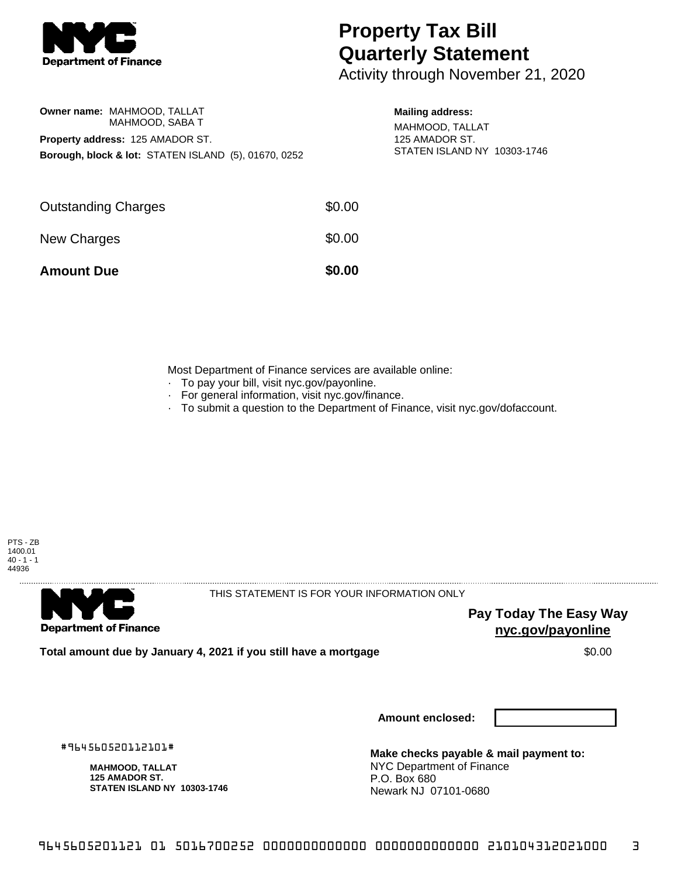

**Owner name:** MAHMOOD, TALLAT

**Property address:** 125 AMADOR ST.

MAHMOOD, SABA T

**Borough, block & lot:** STATEN ISLAND (5), 01670, 0252

## **Property Tax Bill Quarterly Statement**

Activity through November 21, 2020

## **Mailing address:**

MAHMOOD, TALLAT 125 AMADOR ST. STATEN ISLAND NY 10303-1746

| <b>Amount Due</b>          | \$0.00 |
|----------------------------|--------|
| New Charges                | \$0.00 |
| <b>Outstanding Charges</b> | \$0.00 |

Most Department of Finance services are available online:

- · To pay your bill, visit nyc.gov/payonline.
- For general information, visit nyc.gov/finance.
- · To submit a question to the Department of Finance, visit nyc.gov/dofaccount.





THIS STATEMENT IS FOR YOUR INFORMATION ONLY

**Pay Today The Easy Way nyc.gov/payonline**

**Total amount due by January 4, 2021 if you still have a mortgage**  $$0.00$ 

**Amount enclosed:**

#964560520112101#

**MAHMOOD, TALLAT 125 AMADOR ST. STATEN ISLAND NY 10303-1746**

**Make checks payable & mail payment to:** NYC Department of Finance P.O. Box 680 Newark NJ 07101-0680